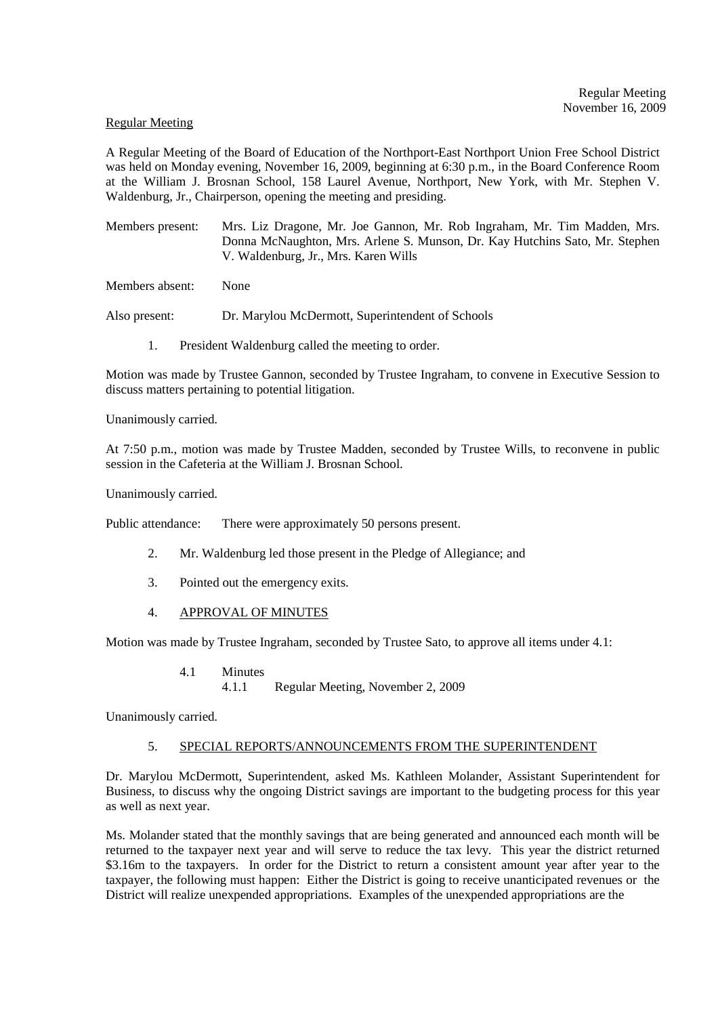#### Regular Meeting

A Regular Meeting of the Board of Education of the Northport-East Northport Union Free School District was held on Monday evening, November 16, 2009, beginning at 6:30 p.m., in the Board Conference Room at the William J. Brosnan School, 158 Laurel Avenue, Northport, New York, with Mr. Stephen V. Waldenburg, Jr., Chairperson, opening the meeting and presiding.

Members present: Mrs. Liz Dragone, Mr. Joe Gannon, Mr. Rob Ingraham, Mr. Tim Madden, Mrs. Donna McNaughton, Mrs. Arlene S. Munson, Dr. Kay Hutchins Sato, Mr. Stephen V. Waldenburg, Jr., Mrs. Karen Wills

Members absent: None

Also present: Dr. Marylou McDermott, Superintendent of Schools

1. President Waldenburg called the meeting to order.

Motion was made by Trustee Gannon, seconded by Trustee Ingraham, to convene in Executive Session to discuss matters pertaining to potential litigation.

Unanimously carried.

At 7:50 p.m., motion was made by Trustee Madden, seconded by Trustee Wills, to reconvene in public session in the Cafeteria at the William J. Brosnan School.

Unanimously carried.

Public attendance: There were approximately 50 persons present.

- 2. Mr. Waldenburg led those present in the Pledge of Allegiance; and
- 3. Pointed out the emergency exits.
- 4. APPROVAL OF MINUTES

Motion was made by Trustee Ingraham, seconded by Trustee Sato, to approve all items under 4.1:

4.1 Minutes 4.1.1 Regular Meeting, November 2, 2009

Unanimously carried.

### 5. SPECIAL REPORTS/ANNOUNCEMENTS FROM THE SUPERINTENDENT

Dr. Marylou McDermott, Superintendent, asked Ms. Kathleen Molander, Assistant Superintendent for Business, to discuss why the ongoing District savings are important to the budgeting process for this year as well as next year.

Ms. Molander stated that the monthly savings that are being generated and announced each month will be returned to the taxpayer next year and will serve to reduce the tax levy. This year the district returned \$3.16m to the taxpayers. In order for the District to return a consistent amount year after year to the taxpayer, the following must happen: Either the District is going to receive unanticipated revenues or the District will realize unexpended appropriations. Examples of the unexpended appropriations are the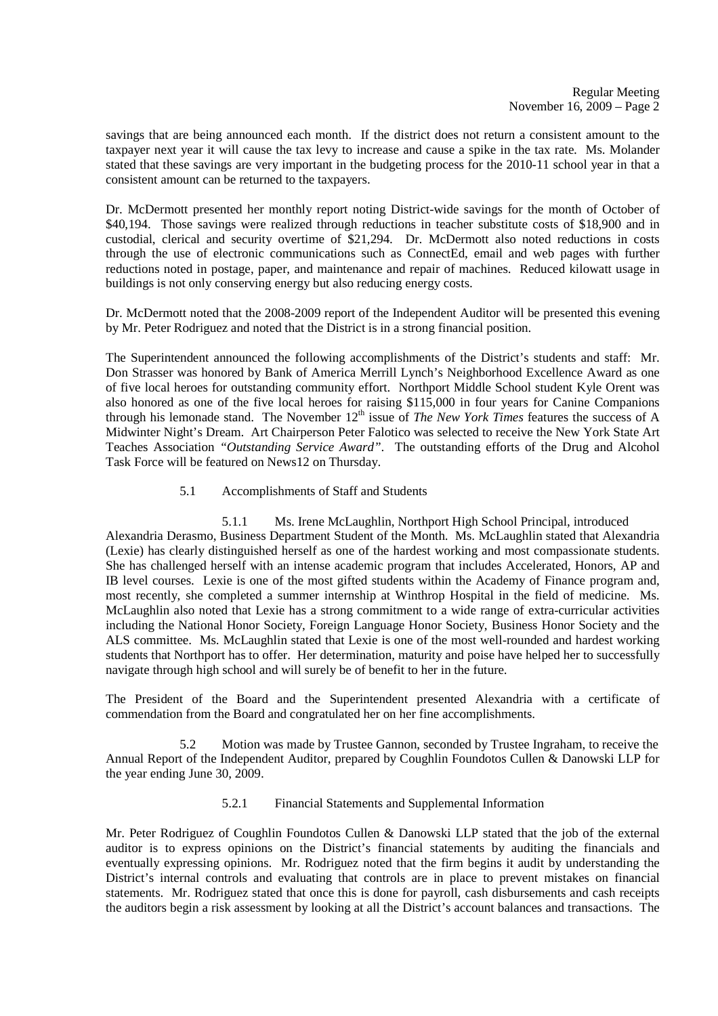savings that are being announced each month. If the district does not return a consistent amount to the taxpayer next year it will cause the tax levy to increase and cause a spike in the tax rate. Ms. Molander stated that these savings are very important in the budgeting process for the 2010-11 school year in that a consistent amount can be returned to the taxpayers.

Dr. McDermott presented her monthly report noting District-wide savings for the month of October of \$40,194. Those savings were realized through reductions in teacher substitute costs of \$18,900 and in custodial, clerical and security overtime of \$21,294. Dr. McDermott also noted reductions in costs through the use of electronic communications such as ConnectEd, email and web pages with further reductions noted in postage, paper, and maintenance and repair of machines. Reduced kilowatt usage in buildings is not only conserving energy but also reducing energy costs.

Dr. McDermott noted that the 2008-2009 report of the Independent Auditor will be presented this evening by Mr. Peter Rodriguez and noted that the District is in a strong financial position.

The Superintendent announced the following accomplishments of the District's students and staff: Mr. Don Strasser was honored by Bank of America Merrill Lynch's Neighborhood Excellence Award as one of five local heroes for outstanding community effort. Northport Middle School student Kyle Orent was also honored as one of the five local heroes for raising \$115,000 in four years for Canine Companions through his lemonade stand. The November  $12<sup>th</sup>$  issue of *The New York Times* features the success of A Midwinter Night's Dream. Art Chairperson Peter Falotico was selected to receive the New York State Art Teaches Association *"Outstanding Service Award"*. The outstanding efforts of the Drug and Alcohol Task Force will be featured on News12 on Thursday.

# 5.1 Accomplishments of Staff and Students

 5.1.1 Ms. Irene McLaughlin, Northport High School Principal, introduced Alexandria Derasmo, Business Department Student of the Month. Ms. McLaughlin stated that Alexandria (Lexie) has clearly distinguished herself as one of the hardest working and most compassionate students. She has challenged herself with an intense academic program that includes Accelerated, Honors, AP and IB level courses. Lexie is one of the most gifted students within the Academy of Finance program and, most recently, she completed a summer internship at Winthrop Hospital in the field of medicine. Ms. McLaughlin also noted that Lexie has a strong commitment to a wide range of extra-curricular activities including the National Honor Society, Foreign Language Honor Society, Business Honor Society and the ALS committee. Ms. McLaughlin stated that Lexie is one of the most well-rounded and hardest working students that Northport has to offer. Her determination, maturity and poise have helped her to successfully navigate through high school and will surely be of benefit to her in the future.

The President of the Board and the Superintendent presented Alexandria with a certificate of commendation from the Board and congratulated her on her fine accomplishments.

5.2 Motion was made by Trustee Gannon, seconded by Trustee Ingraham, to receive the Annual Report of the Independent Auditor, prepared by Coughlin Foundotos Cullen & Danowski LLP for the year ending June 30, 2009.

# 5.2.1 Financial Statements and Supplemental Information

Mr. Peter Rodriguez of Coughlin Foundotos Cullen & Danowski LLP stated that the job of the external auditor is to express opinions on the District's financial statements by auditing the financials and eventually expressing opinions. Mr. Rodriguez noted that the firm begins it audit by understanding the District's internal controls and evaluating that controls are in place to prevent mistakes on financial statements. Mr. Rodriguez stated that once this is done for payroll, cash disbursements and cash receipts the auditors begin a risk assessment by looking at all the District's account balances and transactions. The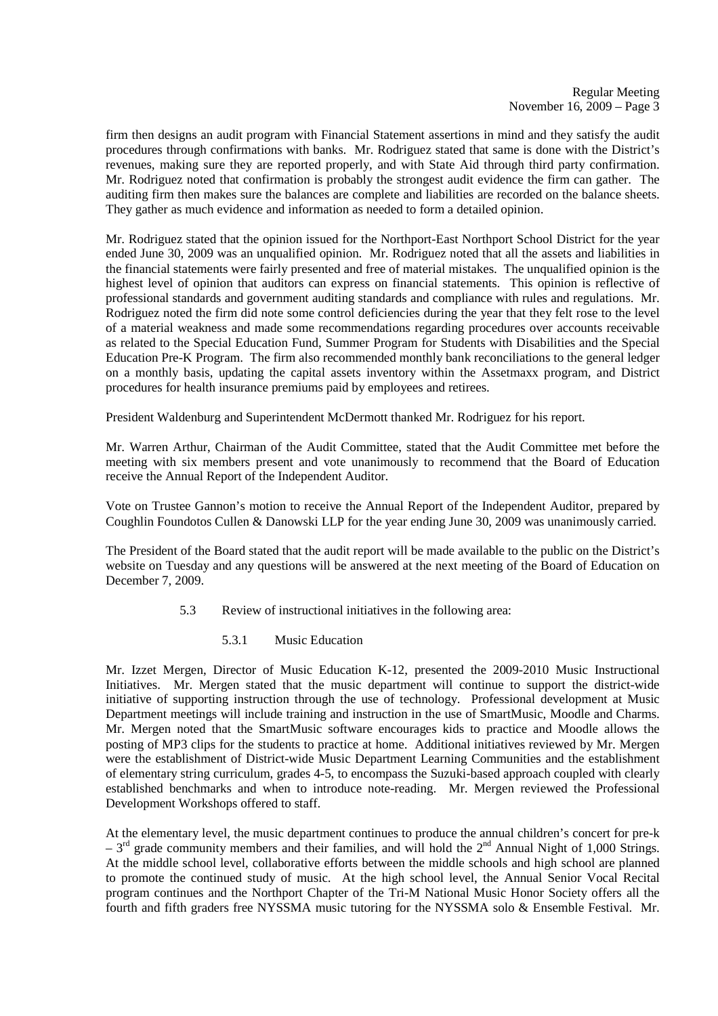firm then designs an audit program with Financial Statement assertions in mind and they satisfy the audit procedures through confirmations with banks. Mr. Rodriguez stated that same is done with the District's revenues, making sure they are reported properly, and with State Aid through third party confirmation. Mr. Rodriguez noted that confirmation is probably the strongest audit evidence the firm can gather. The auditing firm then makes sure the balances are complete and liabilities are recorded on the balance sheets. They gather as much evidence and information as needed to form a detailed opinion.

Mr. Rodriguez stated that the opinion issued for the Northport-East Northport School District for the year ended June 30, 2009 was an unqualified opinion. Mr. Rodriguez noted that all the assets and liabilities in the financial statements were fairly presented and free of material mistakes. The unqualified opinion is the highest level of opinion that auditors can express on financial statements. This opinion is reflective of professional standards and government auditing standards and compliance with rules and regulations. Mr. Rodriguez noted the firm did note some control deficiencies during the year that they felt rose to the level of a material weakness and made some recommendations regarding procedures over accounts receivable as related to the Special Education Fund, Summer Program for Students with Disabilities and the Special Education Pre-K Program. The firm also recommended monthly bank reconciliations to the general ledger on a monthly basis, updating the capital assets inventory within the Assetmaxx program, and District procedures for health insurance premiums paid by employees and retirees.

President Waldenburg and Superintendent McDermott thanked Mr. Rodriguez for his report.

Mr. Warren Arthur, Chairman of the Audit Committee, stated that the Audit Committee met before the meeting with six members present and vote unanimously to recommend that the Board of Education receive the Annual Report of the Independent Auditor.

Vote on Trustee Gannon's motion to receive the Annual Report of the Independent Auditor, prepared by Coughlin Foundotos Cullen & Danowski LLP for the year ending June 30, 2009 was unanimously carried.

The President of the Board stated that the audit report will be made available to the public on the District's website on Tuesday and any questions will be answered at the next meeting of the Board of Education on December 7, 2009.

- 5.3 Review of instructional initiatives in the following area:
	- 5.3.1 Music Education

Mr. Izzet Mergen, Director of Music Education K-12, presented the 2009-2010 Music Instructional Initiatives. Mr. Mergen stated that the music department will continue to support the district-wide initiative of supporting instruction through the use of technology. Professional development at Music Department meetings will include training and instruction in the use of SmartMusic, Moodle and Charms. Mr. Mergen noted that the SmartMusic software encourages kids to practice and Moodle allows the posting of MP3 clips for the students to practice at home. Additional initiatives reviewed by Mr. Mergen were the establishment of District-wide Music Department Learning Communities and the establishment of elementary string curriculum, grades 4-5, to encompass the Suzuki-based approach coupled with clearly established benchmarks and when to introduce note-reading. Mr. Mergen reviewed the Professional Development Workshops offered to staff.

At the elementary level, the music department continues to produce the annual children's concert for pre-k  $-3^{rd}$  grade community members and their families, and will hold the  $2^{nd}$  Annual Night of 1,000 Strings. At the middle school level, collaborative efforts between the middle schools and high school are planned to promote the continued study of music. At the high school level, the Annual Senior Vocal Recital program continues and the Northport Chapter of the Tri-M National Music Honor Society offers all the fourth and fifth graders free NYSSMA music tutoring for the NYSSMA solo & Ensemble Festival. Mr.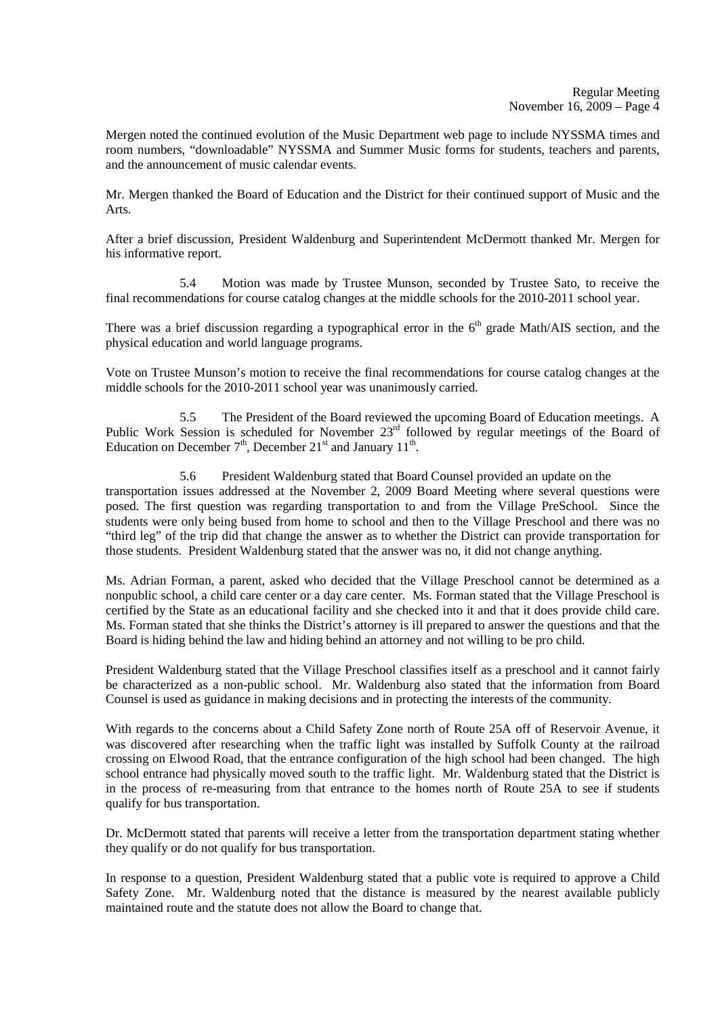Mergen noted the continued evolution of the Music Department web page to include NYSSMA times and room numbers, "downloadable" NYSSMA and Summer Music forms for students, teachers and parents, and the announcement of music calendar events.

Mr. Mergen thanked the Board of Education and the District for their continued support of Music and the Arts.

After a brief discussion, President Waldenburg and Superintendent McDermott thanked Mr. Mergen for his informative report.

 5.4 Motion was made by Trustee Munson, seconded by Trustee Sato, to receive the final recommendations for course catalog changes at the middle schools for the 2010-2011 school year.

There was a brief discussion regarding a typographical error in the  $6<sup>th</sup>$  grade Math/AIS section, and the physical education and world language programs.

Vote on Trustee Munson's motion to receive the final recommendations for course catalog changes at the middle schools for the 2010-2011 school year was unanimously carried.

 5.5 The President of the Board reviewed the upcoming Board of Education meetings. A Public Work Session is scheduled for November 23<sup>rd</sup> followed by regular meetings of the Board of Education on December  $7<sup>th</sup>$ , December  $21<sup>st</sup>$  and January  $11<sup>th</sup>$ .

5.6 President Waldenburg stated that Board Counsel provided an update on the transportation issues addressed at the November 2, 2009 Board Meeting where several questions were posed. The first question was regarding transportation to and from the Village PreSchool. Since the students were only being bused from home to school and then to the Village Preschool and there was no "third leg" of the trip did that change the answer as to whether the District can provide transportation for those students. President Waldenburg stated that the answer was no, it did not change anything.

Ms. Adrian Forman, a parent, asked who decided that the Village Preschool cannot be determined as a nonpublic school, a child care center or a day care center. Ms. Forman stated that the Village Preschool is certified by the State as an educational facility and she checked into it and that it does provide child care. Ms. Forman stated that she thinks the District's attorney is ill prepared to answer the questions and that the Board is hiding behind the law and hiding behind an attorney and not willing to be pro child.

President Waldenburg stated that the Village Preschool classifies itself as a preschool and it cannot fairly be characterized as a non-public school. Mr. Waldenburg also stated that the information from Board Counsel is used as guidance in making decisions and in protecting the interests of the community.

With regards to the concerns about a Child Safety Zone north of Route 25A off of Reservoir Avenue, it was discovered after researching when the traffic light was installed by Suffolk County at the railroad crossing on Elwood Road, that the entrance configuration of the high school had been changed. The high school entrance had physically moved south to the traffic light. Mr. Waldenburg stated that the District is in the process of re-measuring from that entrance to the homes north of Route 25A to see if students qualify for bus transportation.

Dr. McDermott stated that parents will receive a letter from the transportation department stating whether they qualify or do not qualify for bus transportation.

In response to a question, President Waldenburg stated that a public vote is required to approve a Child Safety Zone. Mr. Waldenburg noted that the distance is measured by the nearest available publicly maintained route and the statute does not allow the Board to change that.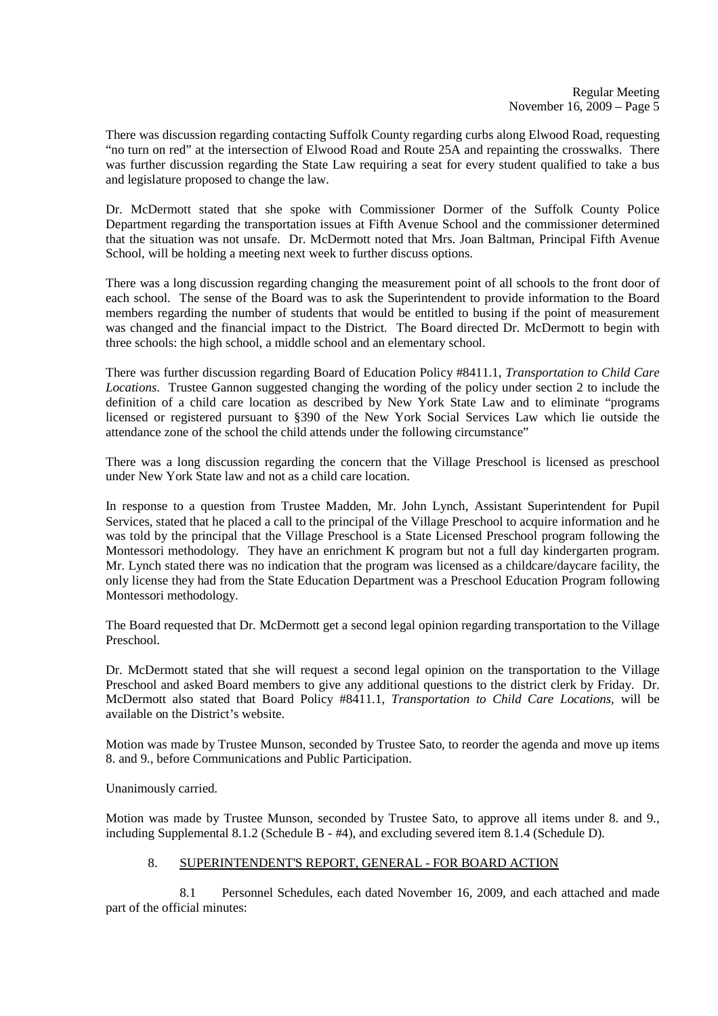There was discussion regarding contacting Suffolk County regarding curbs along Elwood Road, requesting "no turn on red" at the intersection of Elwood Road and Route 25A and repainting the crosswalks. There was further discussion regarding the State Law requiring a seat for every student qualified to take a bus and legislature proposed to change the law.

Dr. McDermott stated that she spoke with Commissioner Dormer of the Suffolk County Police Department regarding the transportation issues at Fifth Avenue School and the commissioner determined that the situation was not unsafe. Dr. McDermott noted that Mrs. Joan Baltman, Principal Fifth Avenue School, will be holding a meeting next week to further discuss options.

There was a long discussion regarding changing the measurement point of all schools to the front door of each school. The sense of the Board was to ask the Superintendent to provide information to the Board members regarding the number of students that would be entitled to busing if the point of measurement was changed and the financial impact to the District. The Board directed Dr. McDermott to begin with three schools: the high school, a middle school and an elementary school.

There was further discussion regarding Board of Education Policy #8411.1, *Transportation to Child Care Locations*. Trustee Gannon suggested changing the wording of the policy under section 2 to include the definition of a child care location as described by New York State Law and to eliminate "programs licensed or registered pursuant to §390 of the New York Social Services Law which lie outside the attendance zone of the school the child attends under the following circumstance"

There was a long discussion regarding the concern that the Village Preschool is licensed as preschool under New York State law and not as a child care location.

In response to a question from Trustee Madden, Mr. John Lynch, Assistant Superintendent for Pupil Services, stated that he placed a call to the principal of the Village Preschool to acquire information and he was told by the principal that the Village Preschool is a State Licensed Preschool program following the Montessori methodology. They have an enrichment K program but not a full day kindergarten program. Mr. Lynch stated there was no indication that the program was licensed as a childcare/daycare facility, the only license they had from the State Education Department was a Preschool Education Program following Montessori methodology.

The Board requested that Dr. McDermott get a second legal opinion regarding transportation to the Village Preschool.

Dr. McDermott stated that she will request a second legal opinion on the transportation to the Village Preschool and asked Board members to give any additional questions to the district clerk by Friday. Dr. McDermott also stated that Board Policy #8411.1, *Transportation to Child Care Locations*, will be available on the District's website.

Motion was made by Trustee Munson, seconded by Trustee Sato, to reorder the agenda and move up items 8. and 9., before Communications and Public Participation.

Unanimously carried.

Motion was made by Trustee Munson, seconded by Trustee Sato, to approve all items under 8. and 9., including Supplemental 8.1.2 (Schedule B - #4), and excluding severed item 8.1.4 (Schedule D).

# 8. SUPERINTENDENT'S REPORT, GENERAL - FOR BOARD ACTION

 8.1 Personnel Schedules, each dated November 16, 2009, and each attached and made part of the official minutes: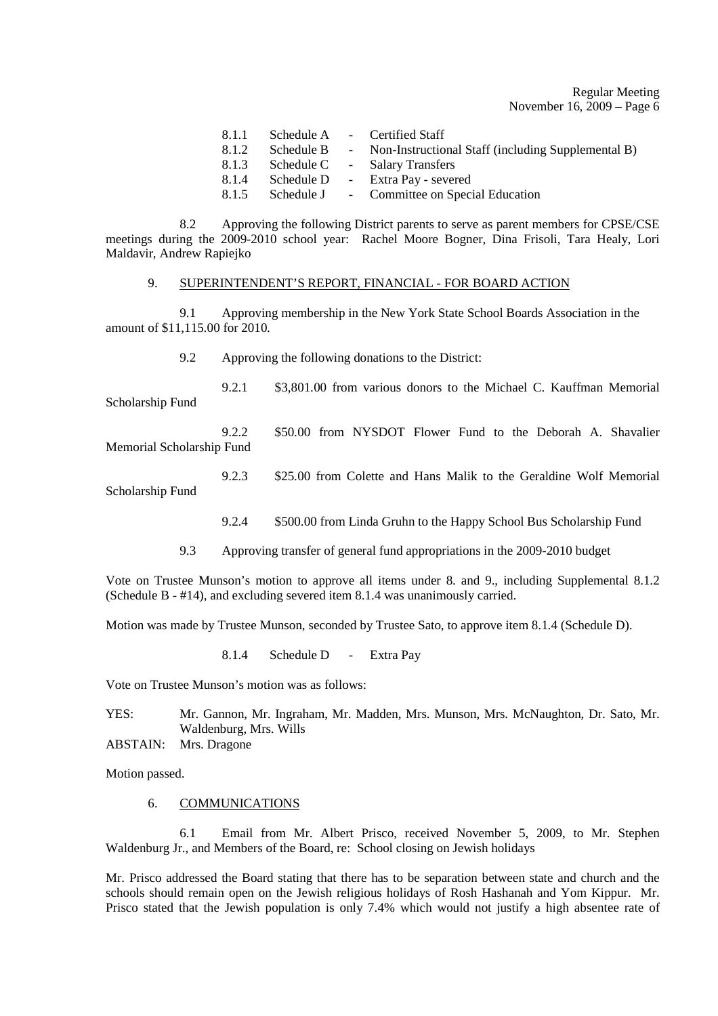Regular Meeting November 16, 2009 – Page 6

| 8.1.1 |            | Schedule A - Certified Staff                         |
|-------|------------|------------------------------------------------------|
| 8.1.2 | Schedule B | - Non-Instructional Staff (including Supplemental B) |
| 8.1.3 | Schedule C | - Salary Transfers                                   |
| 8.1.4 | Schedule D | - Extra Pay - severed                                |
| 8.1.5 |            | Schedule J - Committee on Special Education          |

 8.2 Approving the following District parents to serve as parent members for CPSE/CSE meetings during the 2009-2010 school year: Rachel Moore Bogner, Dina Frisoli, Tara Healy, Lori Maldavir, Andrew Rapiejko

### 9. SUPERINTENDENT'S REPORT, FINANCIAL - FOR BOARD ACTION

 9.1 Approving membership in the New York State School Boards Association in the amount of \$11,115.00 for 2010.

9.2 Approving the following donations to the District:

 9.2.1 \$3,801.00 from various donors to the Michael C. Kauffman Memorial Scholarship Fund

 9.2.2 \$50.00 from NYSDOT Flower Fund to the Deborah A. Shavalier Memorial Scholarship Fund

9.2.3 \$25.00 from Colette and Hans Malik to the Geraldine Wolf Memorial

Scholarship Fund

- 9.2.4 \$500.00 from Linda Gruhn to the Happy School Bus Scholarship Fund
- 9.3 Approving transfer of general fund appropriations in the 2009-2010 budget

Vote on Trustee Munson's motion to approve all items under 8. and 9., including Supplemental 8.1.2 (Schedule B - #14), and excluding severed item 8.1.4 was unanimously carried.

Motion was made by Trustee Munson, seconded by Trustee Sato, to approve item 8.1.4 (Schedule D).

8.1.4 Schedule D - Extra Pay

Vote on Trustee Munson's motion was as follows:

YES: Mr. Gannon, Mr. Ingraham, Mr. Madden, Mrs. Munson, Mrs. McNaughton, Dr. Sato, Mr. Waldenburg, Mrs. Wills

ABSTAIN: Mrs. Dragone

Motion passed.

#### 6. COMMUNICATIONS

 6.1 Email from Mr. Albert Prisco, received November 5, 2009, to Mr. Stephen Waldenburg Jr., and Members of the Board, re: School closing on Jewish holidays

Mr. Prisco addressed the Board stating that there has to be separation between state and church and the schools should remain open on the Jewish religious holidays of Rosh Hashanah and Yom Kippur. Mr. Prisco stated that the Jewish population is only 7.4% which would not justify a high absentee rate of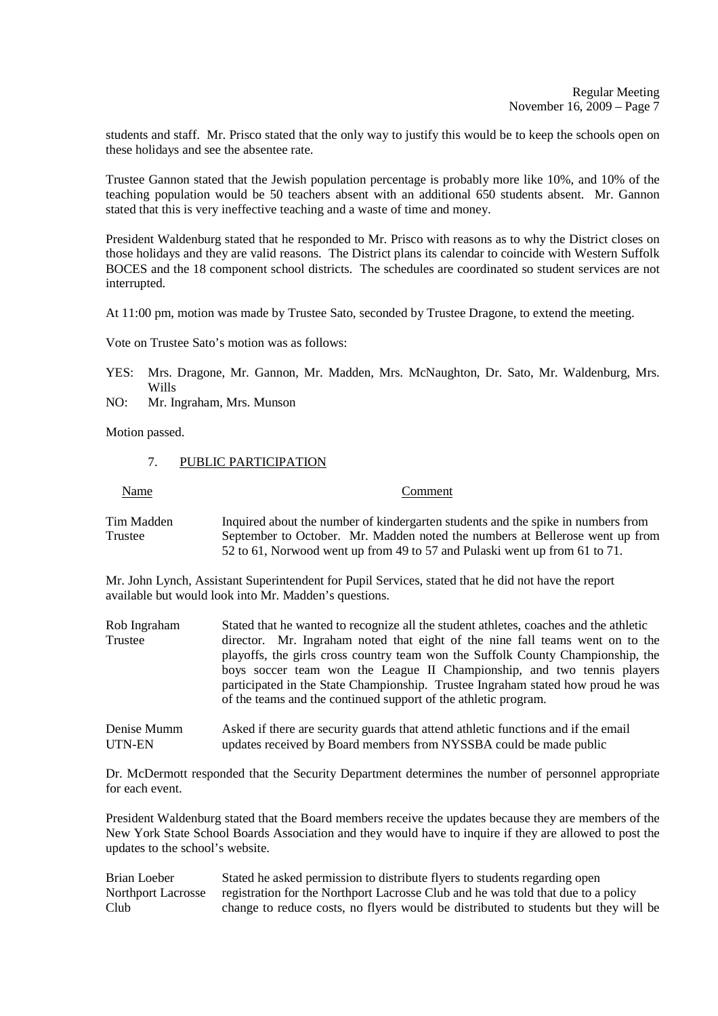students and staff. Mr. Prisco stated that the only way to justify this would be to keep the schools open on these holidays and see the absentee rate.

Trustee Gannon stated that the Jewish population percentage is probably more like 10%, and 10% of the teaching population would be 50 teachers absent with an additional 650 students absent. Mr. Gannon stated that this is very ineffective teaching and a waste of time and money.

President Waldenburg stated that he responded to Mr. Prisco with reasons as to why the District closes on those holidays and they are valid reasons. The District plans its calendar to coincide with Western Suffolk BOCES and the 18 component school districts. The schedules are coordinated so student services are not interrupted.

At 11:00 pm, motion was made by Trustee Sato, seconded by Trustee Dragone, to extend the meeting.

Vote on Trustee Sato's motion was as follows:

- YES: Mrs. Dragone, Mr. Gannon, Mr. Madden, Mrs. McNaughton, Dr. Sato, Mr. Waldenburg, Mrs. Wills
- NO: Mr. Ingraham, Mrs. Munson

Motion passed.

7. PUBLIC PARTICIPATION

Name Comment

Tim Madden Inquired about the number of kindergarten students and the spike in numbers from<br>Trustee September to October. Mr. Madden noted the numbers at Bellerose went up from September to October. Mr. Madden noted the numbers at Bellerose went up from 52 to 61, Norwood went up from 49 to 57 and Pulaski went up from 61 to 71.

Mr. John Lynch, Assistant Superintendent for Pupil Services, stated that he did not have the report available but would look into Mr. Madden's questions.

- Rob Ingraham Stated that he wanted to recognize all the student athletes, coaches and the athletic Trustee director. Mr. Ingraham noted that eight of the nine fall teams went on to the playoffs, the girls cross country team won the Suffolk County Championship, the boys soccer team won the League II Championship, and two tennis players participated in the State Championship. Trustee Ingraham stated how proud he was of the teams and the continued support of the athletic program.
- Denise Mumm Asked if there are security guards that attend athletic functions and if the email UTN-EN updates received by Board members from NYSSBA could be made public

Dr. McDermott responded that the Security Department determines the number of personnel appropriate for each event.

President Waldenburg stated that the Board members receive the updates because they are members of the New York State School Boards Association and they would have to inquire if they are allowed to post the updates to the school's website.

Brian Loeber Stated he asked permission to distribute flyers to students regarding open Northport Lacrosse registration for the Northport Lacrosse Club and he was told that due to a policy Club change to reduce costs, no flyers would be distributed to students but they will be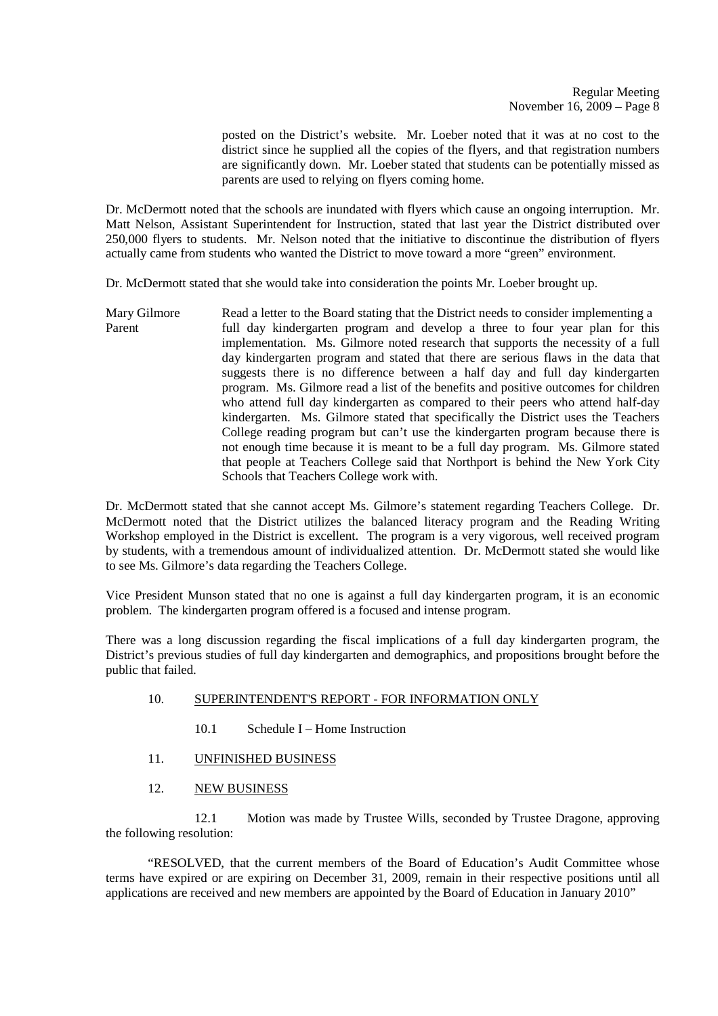posted on the District's website. Mr. Loeber noted that it was at no cost to the district since he supplied all the copies of the flyers, and that registration numbers are significantly down. Mr. Loeber stated that students can be potentially missed as parents are used to relying on flyers coming home.

Dr. McDermott noted that the schools are inundated with flyers which cause an ongoing interruption. Mr. Matt Nelson, Assistant Superintendent for Instruction, stated that last year the District distributed over 250,000 flyers to students. Mr. Nelson noted that the initiative to discontinue the distribution of flyers actually came from students who wanted the District to move toward a more "green" environment.

Dr. McDermott stated that she would take into consideration the points Mr. Loeber brought up.

Mary Gilmore Read a letter to the Board stating that the District needs to consider implementing a<br>Parent full day kindergarten program and develop a three to four year plan for this full day kindergarten program and develop a three to four year plan for this implementation. Ms. Gilmore noted research that supports the necessity of a full day kindergarten program and stated that there are serious flaws in the data that suggests there is no difference between a half day and full day kindergarten program. Ms. Gilmore read a list of the benefits and positive outcomes for children who attend full day kindergarten as compared to their peers who attend half-day kindergarten. Ms. Gilmore stated that specifically the District uses the Teachers College reading program but can't use the kindergarten program because there is not enough time because it is meant to be a full day program. Ms. Gilmore stated that people at Teachers College said that Northport is behind the New York City Schools that Teachers College work with.

Dr. McDermott stated that she cannot accept Ms. Gilmore's statement regarding Teachers College. Dr. McDermott noted that the District utilizes the balanced literacy program and the Reading Writing Workshop employed in the District is excellent. The program is a very vigorous, well received program by students, with a tremendous amount of individualized attention. Dr. McDermott stated she would like to see Ms. Gilmore's data regarding the Teachers College.

Vice President Munson stated that no one is against a full day kindergarten program, it is an economic problem. The kindergarten program offered is a focused and intense program.

There was a long discussion regarding the fiscal implications of a full day kindergarten program, the District's previous studies of full day kindergarten and demographics, and propositions brought before the public that failed.

# 10. SUPERINTENDENT'S REPORT - FOR INFORMATION ONLY

- 10.1 Schedule I Home Instruction
- 11. UNFINISHED BUSINESS
- 12. NEW BUSINESS

 12.1 Motion was made by Trustee Wills, seconded by Trustee Dragone, approving the following resolution:

 "RESOLVED, that the current members of the Board of Education's Audit Committee whose terms have expired or are expiring on December 31, 2009, remain in their respective positions until all applications are received and new members are appointed by the Board of Education in January 2010"